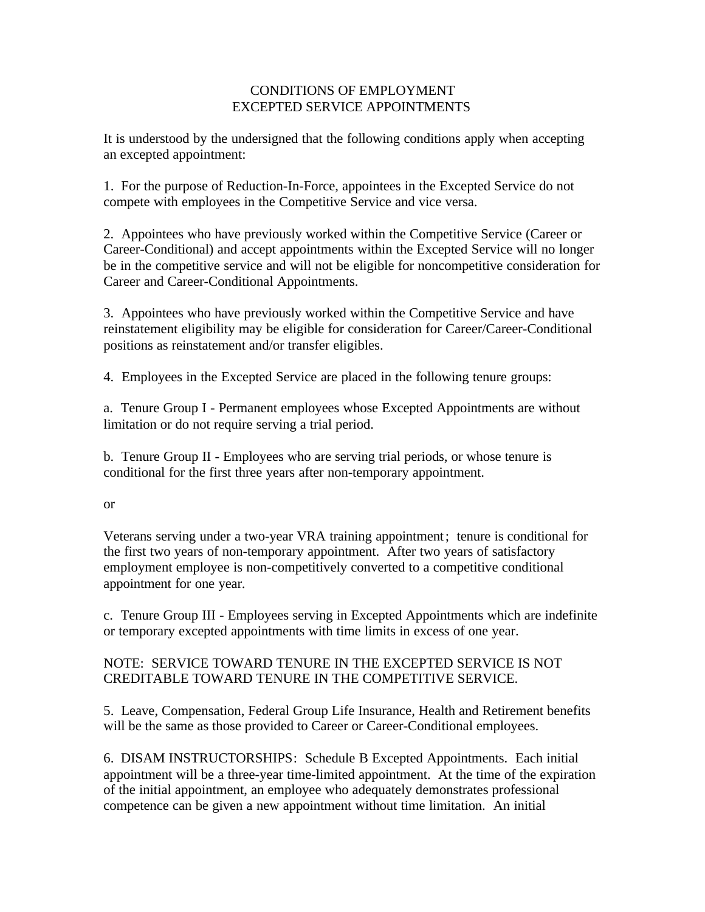## CONDITIONS OF EMPLOYMENT EXCEPTED SERVICE APPOINTMENTS

It is understood by the undersigned that the following conditions apply when accepting an excepted appointment:

1. For the purpose of Reduction-In-Force, appointees in the Excepted Service do not compete with employees in the Competitive Service and vice versa.

2. Appointees who have previously worked within the Competitive Service (Career or Career-Conditional) and accept appointments within the Excepted Service will no longer be in the competitive service and will not be eligible for noncompetitive consideration for Career and Career-Conditional Appointments.

3. Appointees who have previously worked within the Competitive Service and have reinstatement eligibility may be eligible for consideration for Career/Career-Conditional positions as reinstatement and/or transfer eligibles.

4. Employees in the Excepted Service are placed in the following tenure groups:

a. Tenure Group I - Permanent employees whose Excepted Appointments are without limitation or do not require serving a trial period.

b. Tenure Group II - Employees who are serving trial periods, or whose tenure is conditional for the first three years after non-temporary appointment.

## or

Veterans serving under a two-year VRA training appointment; tenure is conditional for the first two years of non-temporary appointment. After two years of satisfactory employment employee is non-competitively converted to a competitive conditional appointment for one year.

c. Tenure Group III - Employees serving in Excepted Appointments which are indefinite or temporary excepted appointments with time limits in excess of one year.

## NOTE: SERVICE TOWARD TENURE IN THE EXCEPTED SERVICE IS NOT CREDITABLE TOWARD TENURE IN THE COMPETITIVE SERVICE.

5. Leave, Compensation, Federal Group Life Insurance, Health and Retirement benefits will be the same as those provided to Career or Career-Conditional employees.

6. DISAM INSTRUCTORSHIPS: Schedule B Excepted Appointments. Each initial appointment will be a three-year time-limited appointment. At the time of the expiration of the initial appointment, an employee who adequately demonstrates professional competence can be given a new appointment without time limitation. An initial